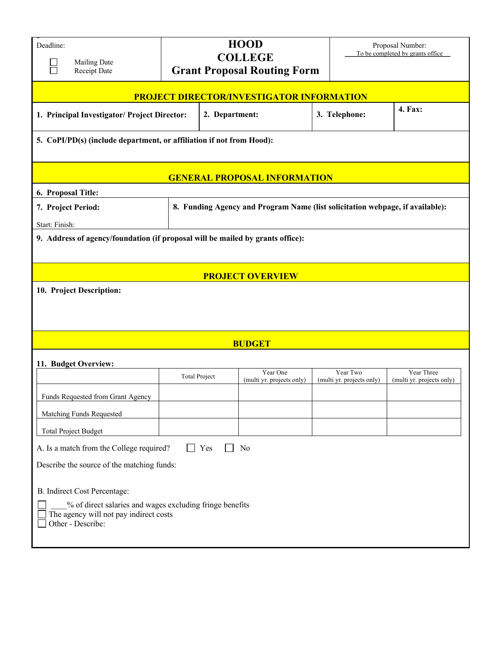| Deadline:<br><b>Mailing Date</b><br>Receipt Date                                                                        |                      | <b>HOOD</b><br><b>COLLEGE</b><br><b>Grant Proposal Routing Form</b>           |                                       | Proposal Number:<br>To be completed by grants office |  |  |  |  |
|-------------------------------------------------------------------------------------------------------------------------|----------------------|-------------------------------------------------------------------------------|---------------------------------------|------------------------------------------------------|--|--|--|--|
| PROJECT DIRECTOR/INVESTIGATOR INFORMATION                                                                               |                      |                                                                               |                                       |                                                      |  |  |  |  |
| 1. Principal Investigator/ Project Director:                                                                            |                      | 2. Department:                                                                | 3. Telephone:                         | 4. Fax:                                              |  |  |  |  |
| 5. CoPI/PD(s) (include department, or affiliation if not from Hood):                                                    |                      |                                                                               |                                       |                                                      |  |  |  |  |
| <b>GENERAL PROPOSAL INFORMATION</b>                                                                                     |                      |                                                                               |                                       |                                                      |  |  |  |  |
| 6. Proposal Title:                                                                                                      |                      |                                                                               |                                       |                                                      |  |  |  |  |
| 7. Project Period:                                                                                                      |                      | 8. Funding Agency and Program Name (list solicitation webpage, if available): |                                       |                                                      |  |  |  |  |
| Start: Finish:                                                                                                          |                      |                                                                               |                                       |                                                      |  |  |  |  |
| 9. Address of agency/foundation (if proposal will be mailed by grants office):                                          |                      |                                                                               |                                       |                                                      |  |  |  |  |
| <b>PROJECT OVERVIEW</b>                                                                                                 |                      |                                                                               |                                       |                                                      |  |  |  |  |
| 10. Project Description:                                                                                                |                      |                                                                               |                                       |                                                      |  |  |  |  |
| <b>BUDGET</b>                                                                                                           |                      |                                                                               |                                       |                                                      |  |  |  |  |
| 11. Budget Overview:                                                                                                    |                      |                                                                               |                                       |                                                      |  |  |  |  |
|                                                                                                                         | <b>Total Project</b> | Year One<br>(multi yr. projects only)                                         | Year Two<br>(multi yr. projects only) | Year Three<br>(multi yr. projects only)              |  |  |  |  |
| Funds Requested from Grant Agency                                                                                       |                      |                                                                               |                                       |                                                      |  |  |  |  |
| Matching Funds Requested                                                                                                |                      |                                                                               |                                       |                                                      |  |  |  |  |
| <b>Total Project Budget</b>                                                                                             |                      |                                                                               |                                       |                                                      |  |  |  |  |
| A. Is a match from the College required?<br>Yes<br>No                                                                   |                      |                                                                               |                                       |                                                      |  |  |  |  |
| Describe the source of the matching funds:                                                                              |                      |                                                                               |                                       |                                                      |  |  |  |  |
| B. Indirect Cost Percentage:                                                                                            |                      |                                                                               |                                       |                                                      |  |  |  |  |
| % of direct salaries and wages excluding fringe benefits<br>The agency will not pay indirect costs<br>Other - Describe: |                      |                                                                               |                                       |                                                      |  |  |  |  |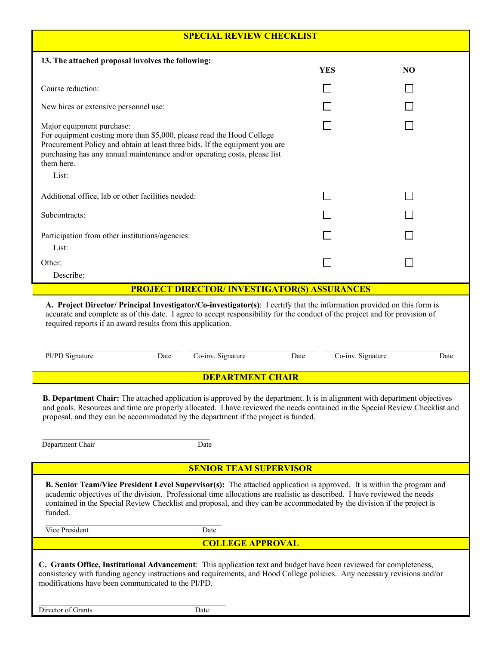| <b>SPECIAL REVIEW CHECKLIST</b>                                                                                                                                                                                                                                                                                                                                                                            |                         |            |  |                |  |  |  |
|------------------------------------------------------------------------------------------------------------------------------------------------------------------------------------------------------------------------------------------------------------------------------------------------------------------------------------------------------------------------------------------------------------|-------------------------|------------|--|----------------|--|--|--|
| 13. The attached proposal involves the following:                                                                                                                                                                                                                                                                                                                                                          |                         |            |  |                |  |  |  |
|                                                                                                                                                                                                                                                                                                                                                                                                            |                         | <b>YES</b> |  | N <sub>O</sub> |  |  |  |
| Course reduction:                                                                                                                                                                                                                                                                                                                                                                                          |                         |            |  |                |  |  |  |
| New hires or extensive personnel use:                                                                                                                                                                                                                                                                                                                                                                      |                         |            |  |                |  |  |  |
| Major equipment purchase:<br>For equipment costing more than \$5,000, please read the Hood College<br>Procurement Policy and obtain at least three bids. If the equipment you are<br>purchasing has any annual maintenance and/or operating costs, please list<br>them here.<br>List:                                                                                                                      |                         |            |  |                |  |  |  |
| Additional office, lab or other facilities needed:                                                                                                                                                                                                                                                                                                                                                         |                         |            |  |                |  |  |  |
| Subcontracts:                                                                                                                                                                                                                                                                                                                                                                                              |                         |            |  |                |  |  |  |
| Participation from other institutions/agencies:<br>List:                                                                                                                                                                                                                                                                                                                                                   |                         |            |  |                |  |  |  |
| Other:<br>Describe:                                                                                                                                                                                                                                                                                                                                                                                        |                         |            |  |                |  |  |  |
| <b>PROJECT DIRECTOR/ INVESTIGATOR(S) ASSURANCES</b>                                                                                                                                                                                                                                                                                                                                                        |                         |            |  |                |  |  |  |
| A. Project Director/ Principal Investigator/Co-investigator(s): I certify that the information provided on this form is<br>accurate and complete as of this date. I agree to accept responsibility for the conduct of the project and for provision of<br>required reports if an award results from this application.<br>PI/PD Signature<br>Co-inv. Signature<br>Co-inv. Signature<br>Date<br>Date<br>Date |                         |            |  |                |  |  |  |
|                                                                                                                                                                                                                                                                                                                                                                                                            | <b>DEPARTMENT CHAIR</b> |            |  |                |  |  |  |
| <b>B. Department Chair:</b> The attached application is approved by the department. It is in alignment with department objectives<br>and goals. Resources and time are properly allocated. I have reviewed the needs contained in the Special Review Checklist and<br>proposal, and they can be accommodated by the department if the project is funded.<br>Department Chair<br>Date                       |                         |            |  |                |  |  |  |
| <b>SENIOR TEAM SUPERVISOR</b>                                                                                                                                                                                                                                                                                                                                                                              |                         |            |  |                |  |  |  |
| B. Senior Team/Vice President Level Supervisor(s): The attached application is approved. It is within the program and<br>academic objectives of the division. Professional time allocations are realistic as described. I have reviewed the needs<br>contained in the Special Review Checklist and proposal, and they can be accommodated by the division if the project is<br>funded.                     |                         |            |  |                |  |  |  |
| Vice President                                                                                                                                                                                                                                                                                                                                                                                             | Date                    |            |  |                |  |  |  |
| <b>COLLEGE APPROVAL</b>                                                                                                                                                                                                                                                                                                                                                                                    |                         |            |  |                |  |  |  |
| C. Grants Office, Institutional Advancement: This application text and budget have been reviewed for completeness,<br>consistency with funding agency instructions and requirements, and Hood College policies. Any necessary revisions and/or<br>modifications have been communicated to the PI/PD.                                                                                                       |                         |            |  |                |  |  |  |
| Director of Grants                                                                                                                                                                                                                                                                                                                                                                                         | Date                    |            |  |                |  |  |  |